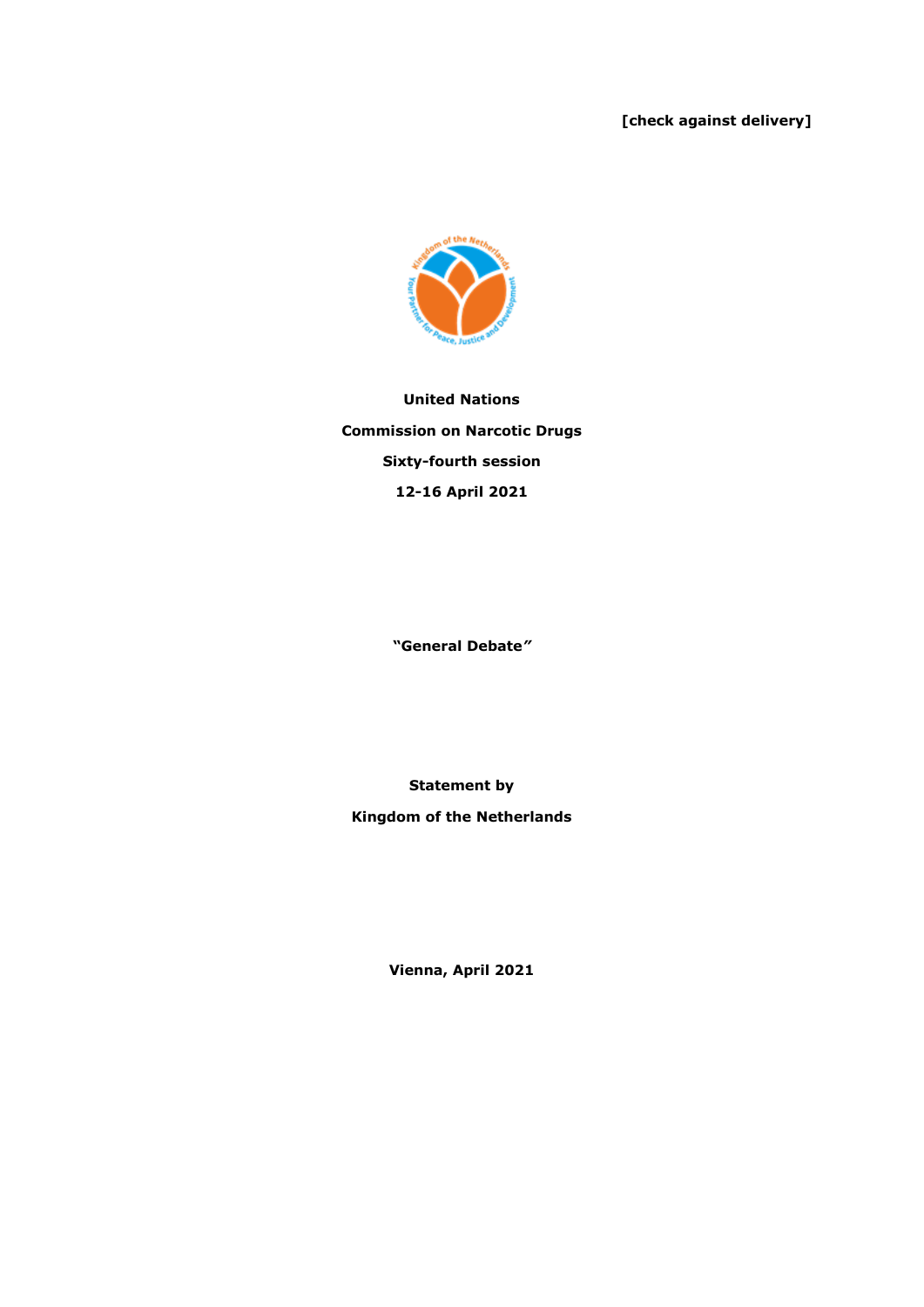## **[check against delivery]**



**United Nations Commission on Narcotic Drugs Sixty-fourth session 12-16 April 2021**

**"General Debate***"*

**Statement by** 

**Kingdom of the Netherlands**

**Vienna, April 2021**